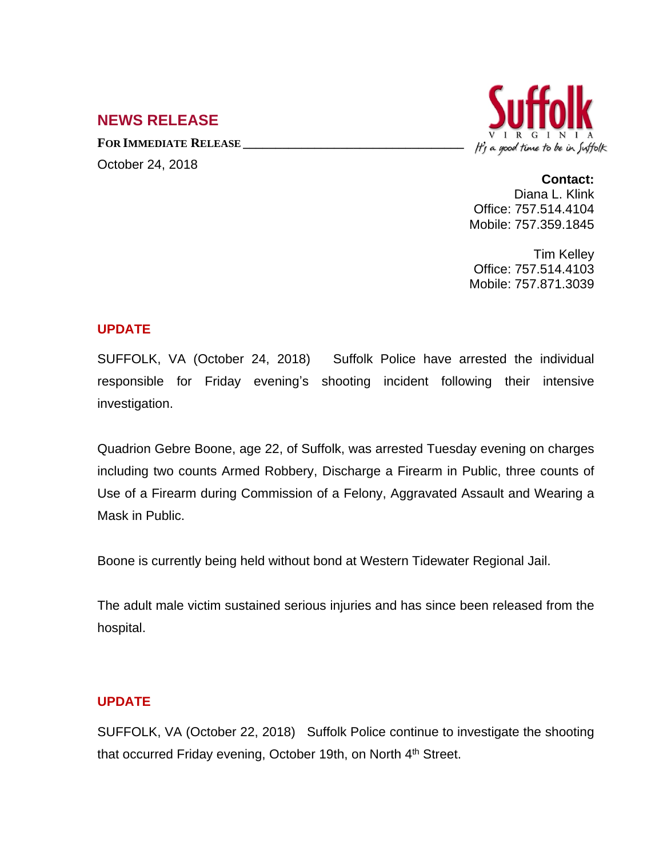# **NEWS RELEASE**

**FOR IMMEDIATE RELEASE \_\_\_\_\_\_\_\_\_\_\_\_\_\_\_\_\_\_\_\_\_\_\_\_\_\_\_\_\_\_\_\_\_\_** October 24, 2018



#### **Contact:**

Diana L. Klink Office: 757.514.4104 Mobile: 757.359.1845

Tim Kelley Office: 757.514.4103 Mobile: 757.871.3039

### **UPDATE**

SUFFOLK, VA (October 24, 2018) Suffolk Police have arrested the individual responsible for Friday evening's shooting incident following their intensive investigation.

Quadrion Gebre Boone, age 22, of Suffolk, was arrested Tuesday evening on charges including two counts Armed Robbery, Discharge a Firearm in Public, three counts of Use of a Firearm during Commission of a Felony, Aggravated Assault and Wearing a Mask in Public.

Boone is currently being held without bond at Western Tidewater Regional Jail.

The adult male victim sustained serious injuries and has since been released from the hospital.

# **UPDATE**

SUFFOLK, VA (October 22, 2018) Suffolk Police continue to investigate the shooting that occurred Friday evening, October 19th, on North 4<sup>th</sup> Street.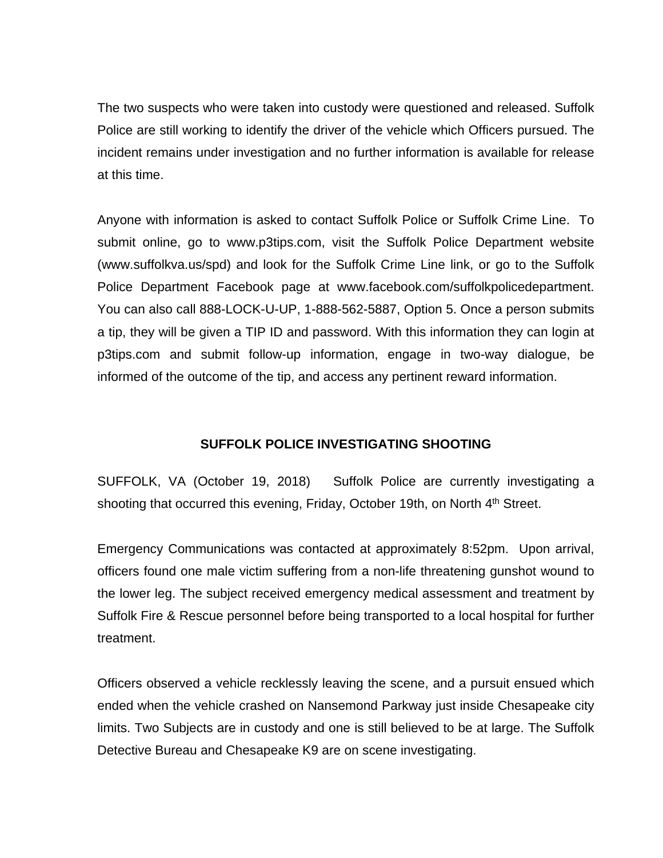The two suspects who were taken into custody were questioned and released. Suffolk Police are still working to identify the driver of the vehicle which Officers pursued. The incident remains under investigation and no further information is available for release at this time.

Anyone with information is asked to contact Suffolk Police or Suffolk Crime Line. To submit online, go to www.p3tips.com, visit the Suffolk Police Department website (www.suffolkva.us/spd) and look for the Suffolk Crime Line link, or go to the Suffolk Police Department Facebook page at www.facebook.com/suffolkpolicedepartment. You can also call 888-LOCK-U-UP, 1-888-562-5887, Option 5. Once a person submits a tip, they will be given a TIP ID and password. With this information they can login at p3tips.com and submit follow-up information, engage in two-way dialogue, be informed of the outcome of the tip, and access any pertinent reward information.

# **SUFFOLK POLICE INVESTIGATING SHOOTING**

SUFFOLK, VA (October 19, 2018) Suffolk Police are currently investigating a shooting that occurred this evening, Friday, October 19th, on North 4<sup>th</sup> Street.

Emergency Communications was contacted at approximately 8:52pm. Upon arrival, officers found one male victim suffering from a non-life threatening gunshot wound to the lower leg. The subject received emergency medical assessment and treatment by Suffolk Fire & Rescue personnel before being transported to a local hospital for further treatment.

Officers observed a vehicle recklessly leaving the scene, and a pursuit ensued which ended when the vehicle crashed on Nansemond Parkway just inside Chesapeake city limits. Two Subjects are in custody and one is still believed to be at large. The Suffolk Detective Bureau and Chesapeake K9 are on scene investigating.